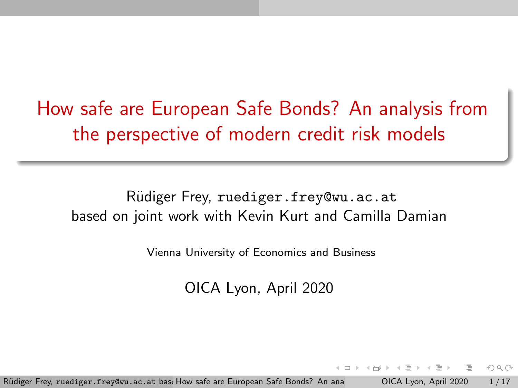<span id="page-0-0"></span>How safe are European Safe Bonds? An analysis from the perspective of modern credit risk models

Rüdiger Frey, ruediger.frey@wu.ac.at based on joint work with Kevin Kurt and Camilla Damian

Vienna University of Economics and Business

OICA Lyon, April 2020

Rüdiger Frey, ruediger. frey@wu.ac.at basi How safe are European Safe Bonds? An analysis COICA Lyon, April 2020 1/17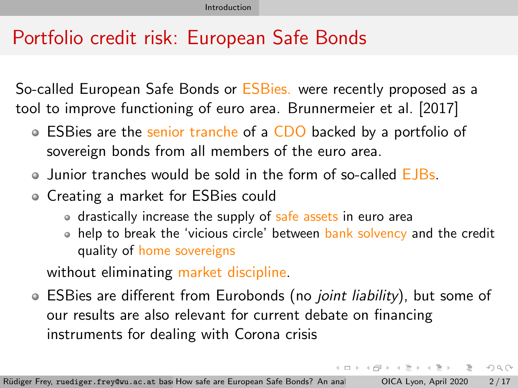# <span id="page-1-0"></span>Portfolio credit risk: European Safe Bonds

So-called European Safe Bonds or **ESBies**. were recently proposed as a tool to improve functioning of euro area. [Brunnermeier et al. \[2017\]](#page-16-1)

- ESBies are the senior tranche of a CDO backed by a portfolio of sovereign bonds from all members of the euro area.
- Junior tranches would be sold in the form of so-called EJBs.
- Creating a market for ESBies could
	- drastically increase the supply of safe assets in euro area
	- help to break the 'vicious circle' between bank solvency and the credit quality of home sovereigns

モーマ イラン マミン マラン・コン

 $OQ$ 

without eliminating market discipline.

• ESBies are different from Eurobonds (no *joint liability*), but some of our results are also relevant for current debate on financing instruments for dealing with Corona crisis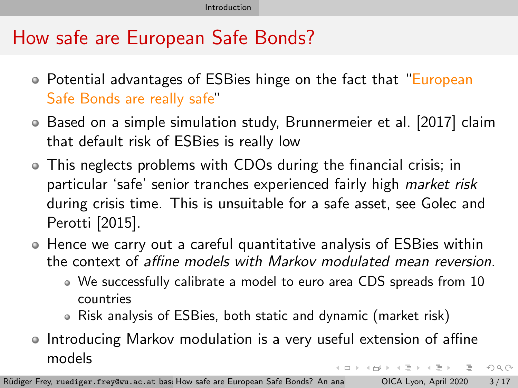# How safe are European Safe Bonds?

- Potential advantages of ESBies hinge on the fact that "European Safe Bonds are really safe"
- Based on a simple simulation study, [Brunnermeier et al. \[2017\]](#page-16-1) claim that default risk of ESBies is really low
- This neglects problems with CDOs during the financial crisis; in particular 'safe' senior tranches experienced fairly high market risk during crisis time. This is unsuitable for a safe asset, see [Golec and](#page-16-2) [Perotti \[2015\]](#page-16-2).
- Hence we carry out a careful quantitative analysis of ESBies within the context of affine models with Markov modulated mean reversion.
	- We successfully calibrate a model to euro area CDS spreads from 10 countries
	- Risk analysis of ESBies, both static and dynamic (market risk)
- Introducing Markov modulation is a very useful extension of affine models イロト イ何 トイヨ トイヨト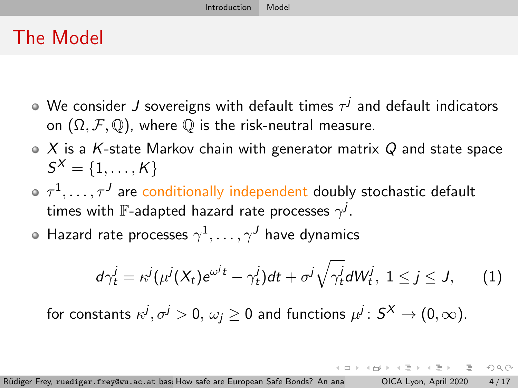## <span id="page-3-0"></span>The Model

- We consider  $J$  sovereigns with default times  $\tau^j$  and default indicators on  $(\Omega, \mathcal{F}, \mathbb{Q})$ , where  $\mathbb Q$  is the risk-neutral measure.
- $\bullet$  X is a K-state Markov chain with generator matrix Q and state space  $\mathcal{S}^{\mathcal{X}}=\{1,\ldots,\mathcal{K}\}$
- $\tau^1, \ldots, \tau^J$  are conditionally independent doubly stochastic default times with  $\mathbb F$ -adapted hazard rate processes  $\gamma^j.$
- Hazard rate processes  $\gamma^1,\ldots,\gamma^J$  have dynamics

$$
d\gamma_t^j = \kappa^j(\mu^j(X_t)e^{\omega^jt} - \gamma_t^j)dt + \sigma^j\sqrt{\gamma_t^j}dW_t^j, \ 1 \le j \le J,
$$
 (1)

 $\mathcal{A} \oplus \mathcal{B} \rightarrow \mathcal{A} \oplus \mathcal{B} \rightarrow \mathcal{A} \oplus \mathcal{B} \rightarrow \mathcal{B}$ 

 $OQ$ 

for constants  $\kappa^j, \sigma^j>0, \, \omega_j\geq 0$  and functions  $\mu^j\colon S^\mathsf{X}\to (0, \infty).$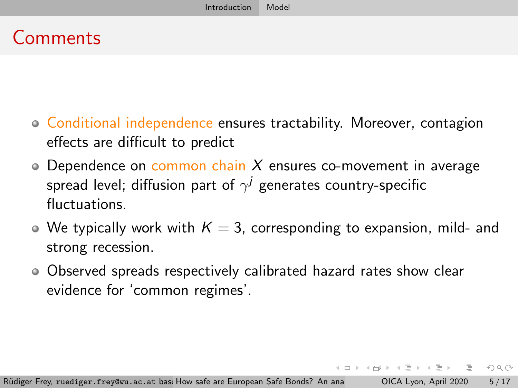## **Comments**

- Conditional independence ensures tractability. Moreover, contagion effects are difficult to predict
- $\circ$  Dependence on common chain X ensures co-movement in average spread level; diffusion part of  $\gamma^j$  generates country-specific fluctuations.
- $\bullet$  We typically work with  $K = 3$ , corresponding to expansion, mild- and strong recession.
- Observed spreads respectively calibrated hazard rates show clear evidence for 'common regimes'.

 $\mathbf{f} = \mathbf{f} + \mathbf{f} + \mathbf{f} + \mathbf{f} + \mathbf{f}$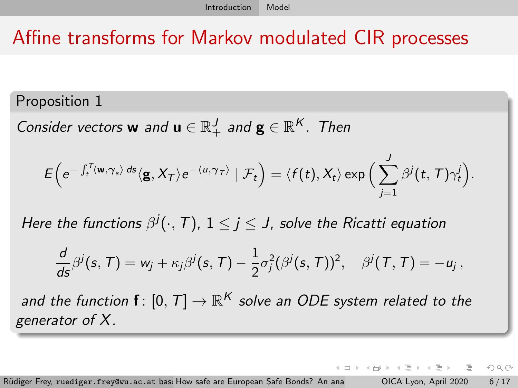# Affine transforms for Markov modulated CIR processes

Proposition 1

Consider vectors **w** and  $\mathbf{u} \in \mathbb{R}_+^J$  and  $\mathbf{g} \in \mathbb{R}^K$ . Then

$$
E\Big(e^{-\int_t^T \langle \mathbf{w}, \boldsymbol{\gamma}_s\rangle\,ds}\langle \mathbf{g}, X_T\rangle e^{-\langle u, \boldsymbol{\gamma}_T\rangle}\mid \mathcal{F}_t\Big)=\langle f(t), X_t\rangle \exp\Big(\sum_{j=1}^J \beta^j(t, \mathcal{T})\gamma_t^j\Big).
$$

Here the functions  $\beta^j(\cdot,T)$ ,  $1\leq j\leq J$ , solve the Ricatti equation

$$
\frac{d}{ds}\beta^j(s,\mathcal{T})=w_j+\kappa_j\beta^j(s,\mathcal{T})-\frac{1}{2}\sigma_j^2(\beta^j(s,\mathcal{T}))^2,\quad \beta^j(\mathcal{T},\mathcal{T})=-u_j\,,
$$

and the function  $\textbf{f} \colon [0,T] \to \mathbb{R}^K$  solve an ODE system related to the generator of X.

Rüdiger Frey, ruediger.frey@wu.ac.at bas: How safe are European Safe Bonds? An anal CAMI (2000 6/17

④ → ④ → → → 三 →

- 3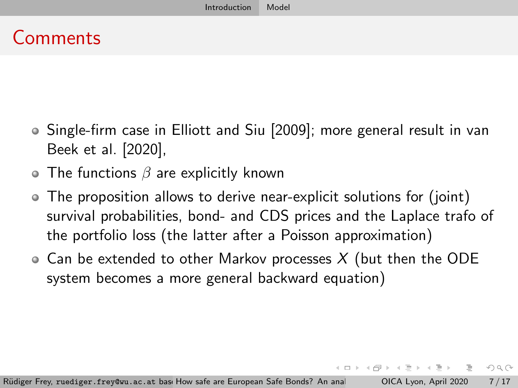## Comments

- Single-firm case in [Elliott and Siu \[2009\]](#page-16-3); more general result in [van](#page-16-4) [Beek et al. \[2020\]](#page-16-4),
- $\bullet$  The functions  $\beta$  are explicitly known
- The proposition allows to derive near-explicit solutions for (joint) survival probabilities, bond- and CDS prices and the Laplace trafo of the portfolio loss (the latter after a Poisson approximation)
- $\circ$  Can be extended to other Markov processes X (but then the ODE system becomes a more general backward equation)

 $\exists$   $\rightarrow$   $\rightarrow$   $\exists$   $\rightarrow$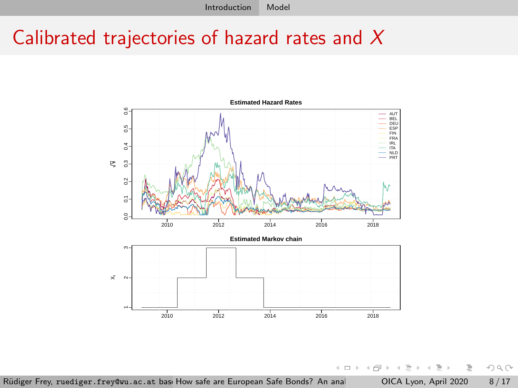## Calibrated trajectories of hazard rates and X



 $\leftarrow$   $\Box$   $\rightarrow$ 4 母 Ξ  $\mathbf{b}$  $\prec$  $\equiv$   $\rightarrow$ E

 $\mathbb{R}^2$  $\mathcal{A}$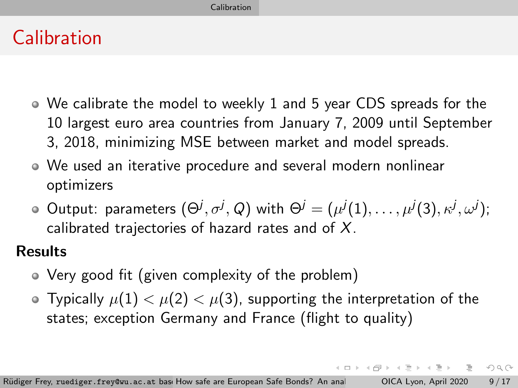# <span id="page-8-0"></span>Calibration

- We calibrate the model to weekly 1 and 5 year CDS spreads for the 10 largest euro area countries from January 7, 2009 until September 3, 2018, minimizing MSE between market and model spreads.
- We used an iterative procedure and several modern nonlinear optimizers
- Output: parameters  $(\Theta^j, \sigma^j, Q)$  with  $\Theta^j = (\mu^j(1), \ldots, \mu^j(3), \kappa^j, \omega^j);$ calibrated trajectories of hazard rates and of  $X$ .

### **Results**

- Very good fit (given complexity of the problem)
- Typically  $\mu(1) < \mu(2) < \mu(3)$ , supporting the interpretation of the states; exception Germany and France (flight to quality)

 $\mathsf{L} \square \rightarrow \mathsf{L} \mathsf{L} \mathsf{L} \rightarrow \mathsf{L} \mathsf{L} \rightarrow \mathsf{L} \mathsf{L} \mathsf{L} \rightarrow \mathsf{L} \mathsf{L} \mathsf{L} \rightarrow \mathsf{L} \mathsf{L} \mathsf{L} \rightarrow \mathsf{L} \mathsf{L} \mathsf{L} \rightarrow \mathsf{L} \mathsf{L} \mathsf{L} \rightarrow \mathsf{L} \mathsf{L} \mathsf{L} \rightarrow \mathsf{L} \mathsf{L} \mathsf{L} \rightarrow \mathsf{L} \mathsf{L} \mathsf{L} \rightarrow \mathsf{L} \mathsf{L} \mathsf{$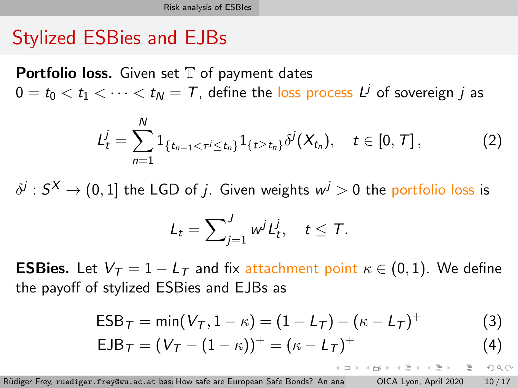## <span id="page-9-0"></span>Stylized ESBies and EJBs

**Portfolio loss.** Given set  $T$  of payment dates  $0 = t_0 < t_1 < \cdots < t_N = \mathcal{T}$ , define the l<mark>oss process  $L^j$ </mark> of sovereign  $j$  as

$$
L_t^j = \sum_{n=1}^N 1_{\{t_{n-1} < \tau^j \leq t_n\}} 1_{\{t \geq t_n\}} \delta^j(X_{t_n}), \quad t \in [0, T], \tag{2}
$$

 $\delta^j: S^\mathsf{X} \to (0,1]$  the LGD of  $j.$  Given weights  $\mathsf{w}^j>0$  the portfolio loss is

$$
L_t = \sum_{j=1}^J w^j L_t^j, \quad t \leq T.
$$

**ESBies.** Let  $V_T = 1 - L_T$  and fix attachment point  $\kappa \in (0, 1)$ . We define the payoff of stylized ESBies and EJBs as

$$
ESB_{T} = min(V_{T}, 1 - \kappa) = (1 - L_{T}) - (\kappa - L_{T})^{+}
$$
 (3)

$$
EJB_{T} = (V_{T} - (1 - \kappa))^{+} = (\kappa - L_{T})^{+}
$$
\n(4)

Rüdiger Frey, ruediger.frey@wu.ac.at basi How safe are European Safe Bonds? An anal CALyon, April 2020 10/17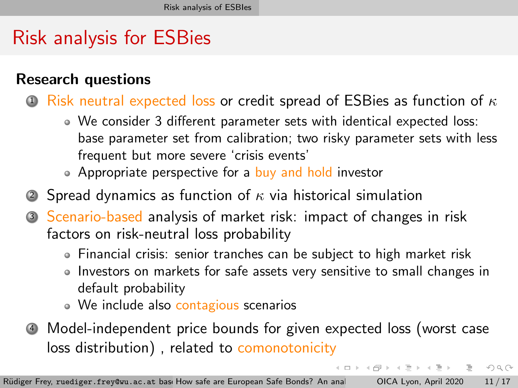# Risk analysis for ESBies

### Research questions

- 1 Risk neutral expected loss or credit spread of ESBies as function of  $\kappa$ 
	- We consider 3 different parameter sets with identical expected loss: base parameter set from calibration; two risky parameter sets with less frequent but more severe 'crisis events'
	- Appropriate perspective for a buy and hold investor
- 2 Spread dynamics as function of  $\kappa$  via historical simulation
- <sup>3</sup> Scenario-based analysis of market risk: impact of changes in risk factors on risk-neutral loss probability
	- Financial crisis: senior tranches can be subject to high market risk
	- Investors on markets for safe assets very sensitive to small changes in default probability

(ロトヨ 母 トヨ ヨ トヨ ヨ ト

目

- We include also contagious scenarios
- <sup>4</sup> Model-independent price bounds for given expected loss (worst case loss distribution), related to comonotonicity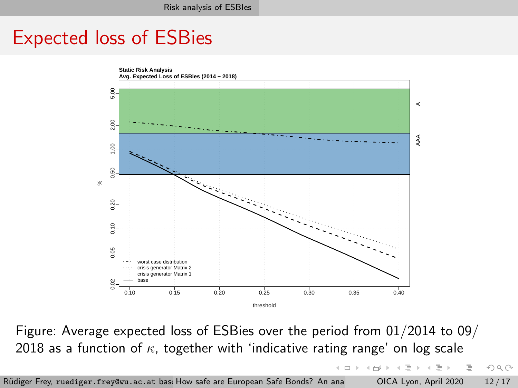## Expected loss of ESBies



Figure: Average expected loss of ESBies over the period from 01/2014 to 09/ 2018 as a function of  $\kappa$ , together with 'indicative rating range' on log scale

Rüdiger Frey, ruediger.frey@wu.ac.at bas: How safe are European Safe Bonds? An anal CAMI CAMILA DAPTI 2020 12/17

 $\mathcal{A} \xrightarrow{\sim} \mathcal{B} \rightarrow \mathcal{A} \xrightarrow{\sim} \mathcal{B}$ 

 $\leftarrow$   $\Box$   $\rightarrow$ 

4 冊 →

 $\equiv$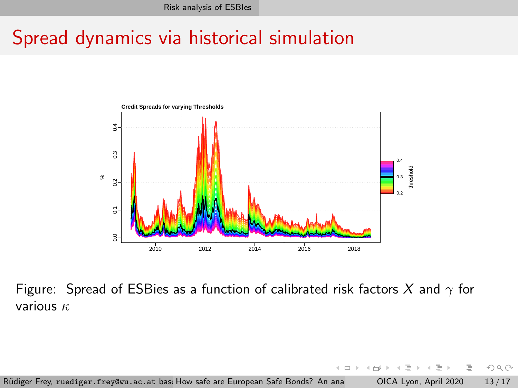## Spread dynamics via historical simulation



 $\overline{0}$ Figure: Spread of ESBies as a function of calibrated risk factors X and  $\gamma$  for various  $\kappa$ 

Rüdiger Frey, ruediger.frey@wu.ac.at basi How safe are European Safe Bonds? An anal CAMI CAMILA DAPIL 2020 13/17

 $\leftarrow$   $\Box$   $\rightarrow$ 

 $OQ$ 

E

 $\leftarrow \equiv +$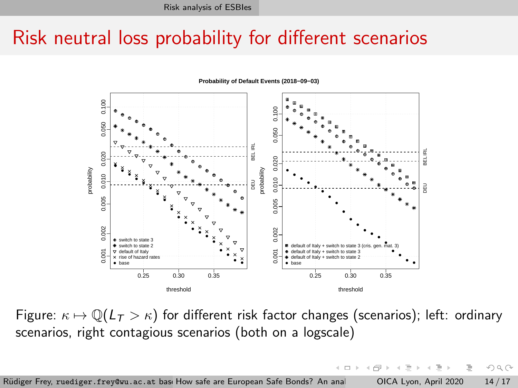## Risk neutral loss probability for different scenarios



Figure:  $\kappa \mapsto \mathbb{Q}(L_T > \kappa)$  for different risk factor changes (scenarios); left: ordinary scenarios, right contagious scenarios (both on a logscale)

 $OQ$ 

Rüdiger Frey, ruediger.frey@wu.ac.at bas: How safe are European Safe Bonds? An anal CALyon, April 2020 14/17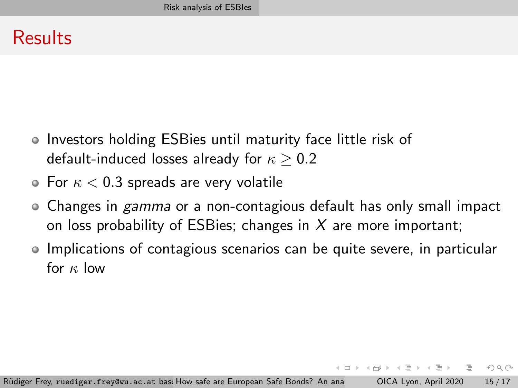## Results

- Investors holding ESBies until maturity face little risk of default-induced losses already for  $\kappa > 0.2$
- $\bullet$  For  $\kappa < 0.3$  spreads are very volatile
- Changes in *gamma* or a non-contagious default has only small impact on loss probability of ESBies; changes in  $X$  are more important;
- Implications of contagious scenarios can be quite severe, in particular for  $\kappa$  low

 $A \equiv 1$  and  $B \equiv 1$ 

 $\equiv$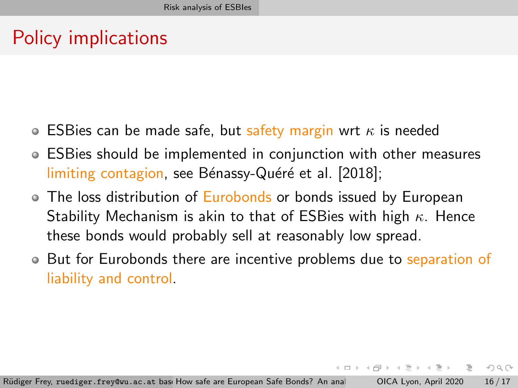# Policy implications

- **ESBies can be made safe, but safety margin wrt**  $\kappa$  **is needed**
- ESBies should be implemented in conjunction with other measures limiting contagion, see Bénassy-Quéré et al. [2018];
- The loss distribution of Eurobonds or bonds issued by European Stability Mechanism is akin to that of ESBies with high  $\kappa$ . Hence these bonds would probably sell at reasonably low spread.
- But for Eurobonds there are incentive problems due to separation of liability and control.

化三氯化物三氯

 $\equiv$